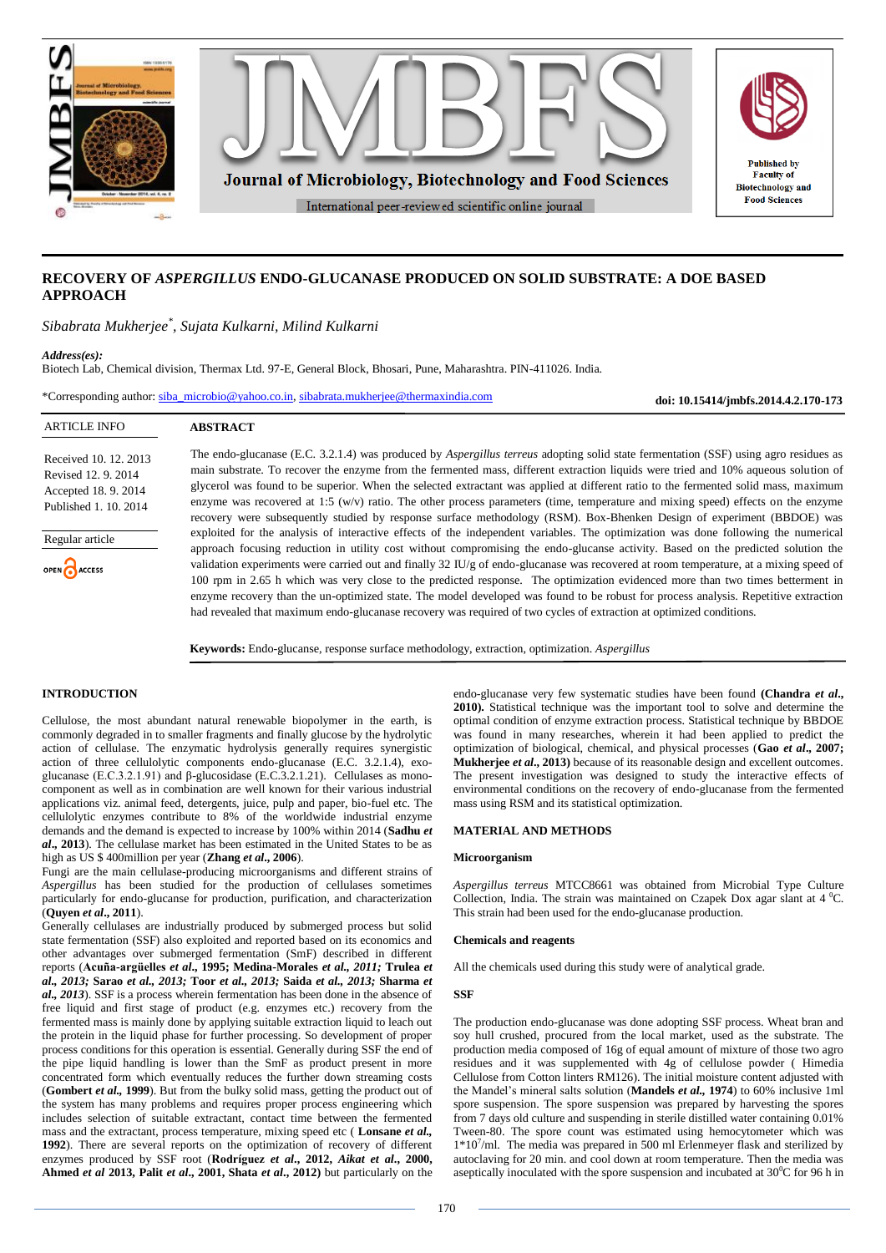

# **RECOVERY OF** *ASPERGILLUS* **ENDO-GLUCANASE PRODUCED ON SOLID SUBSTRATE: A DOE BASED APPROACH**

*Sibabrata Mukherjee\* , Sujata Kulkarni, Milind Kulkarni*

### *Address(es):*

Biotech Lab, Chemical division, Thermax Ltd. 97-E, General Block, Bhosari, Pune, Maharashtra. PIN-411026. India.

\*Corresponding author: [siba\\_microbio@yahoo.co.in,](mailto:siba_microbio@yahoo.co.in) [sibabrata.mukherjee@thermaxindia.com](mailto:sibabrata.mukherjee@thermaxindia.com)

**doi: 10.15414/jmbfs.2014.4.2.170-173**

| <b>ARTICLE INFO</b>                                                                         | <b>ABSTRACT</b>                                                                                                                                                                                                                                                                                                                                                                                                                                                                                                                                                |
|---------------------------------------------------------------------------------------------|----------------------------------------------------------------------------------------------------------------------------------------------------------------------------------------------------------------------------------------------------------------------------------------------------------------------------------------------------------------------------------------------------------------------------------------------------------------------------------------------------------------------------------------------------------------|
| Received 10, 12, 2013<br>Revised 12, 9, 2014<br>Accepted 18.9.2014<br>Published 1, 10, 2014 | The endo-glucanase (E.C. 3.2.1.4) was produced by <i>Aspergillus terreus</i> adopting solid state fermentation (SSF) using agro residues as<br>main substrate. To recover the enzyme from the fermented mass, different extraction liquids were tried and 10% aqueous solution of<br>glycerol was found to be superior. When the selected extractant was applied at different ratio to the fermented solid mass, maximum<br>enzyme was recovered at 1:5 $(w/v)$ ratio. The other process parameters (time, temperature and mixing speed) effects on the enzyme |
| Regular article                                                                             | recovery were subsequently studied by response surface methodology (RSM). Box-Bhenken Design of experiment (BBDOE) was<br>exploited for the analysis of interactive effects of the independent variables. The optimization was done following the numerical<br>approach focusing reduction in utility cost without compromising the endo-glucanse activity. Based on the predicted solution the                                                                                                                                                                |
| OPEN CACCESS                                                                                | validation experiments were carried out and finally 32 IU/g of endo-glucanase was recovered at room temperature, at a mixing speed of<br>100 rpm in 2.65 h which was very close to the predicted response. The optimization evidenced more than two times betterment in<br>enzyme recovery than the un-optimized state. The model developed was found to be robust for process analysis. Repetitive extraction<br>had revealed that maximum endo-glucanase recovery was required of two cycles of extraction at optimized conditions.                          |

**Keywords:** Endo-glucanse, response surface methodology, extraction, optimization. *Aspergillus*

# **INTRODUCTION**

Cellulose, the most abundant natural renewable biopolymer in the earth, is commonly degraded in to smaller fragments and finally glucose by the hydrolytic action of cellulase. The enzymatic hydrolysis generally requires synergistic action of three cellulolytic components endo-glucanase (E.C. 3.2.1.4), exoglucanase (E.C.3.2.1.91) and β-glucosidase (E.C.3.2.1.21). Cellulases as monocomponent as well as in combination are well known for their various industrial applications viz. animal feed, detergents, juice, pulp and paper, bio-fuel etc. The cellulolytic enzymes contribute to 8% of the worldwide industrial enzyme demands and the demand is expected to increase by 100% within 2014 (**Sadhu** *et al***., 2013**). The cellulase market has been estimated in the United States to be as high as US \$ 400million per year (**Zhang** *et al***., 2006**).

Fungi are the main cellulase-producing microorganisms and different strains of *Aspergillus* has been studied for the production of cellulases sometimes particularly for endo-glucanse for production, purification, and characterization (**Quyen** *et al***., 2011**).

Generally cellulases are industrially produced by submerged process but solid state fermentation (SSF) also exploited and reported based on its economics and other advantages over submerged fermentation (SmF) described in different reports (**Acuña-argüelles** *et al***., 1995; Medina-Morales** *et al., 2011;* **Trulea** *et al., 2013;* **Sarao** *et al., 2013;* **Toor** *et al., 2013;* **Saida** *et al., 2013;* **Sharma** *et al., 2013*). SSF is a process wherein fermentation has been done in the absence of free liquid and first stage of product (e.g. enzymes etc.) recovery from the fermented mass is mainly done by applying suitable extraction liquid to leach out the protein in the liquid phase for further processing. So development of proper process conditions for this operation is essential. Generally during SSF the end of the pipe liquid handling is lower than the SmF as product present in more concentrated form which eventually reduces the further down streaming costs (**Gombert** *et al.,* **1999**). But from the bulky solid mass, getting the product out of the system has many problems and requires proper process engineering which includes selection of suitable extractant, contact time between the fermented mass and the extractant, process temperature, mixing speed etc ( **Lonsane** *et al.,* **1992**). There are several reports on the optimization of recovery of different enzymes produced by SSF root (**Rodríguez** *et al***., 2012,** *Aikat et al***., 2000, Ahmed** *et al* **2013, Palit** *et al***., 2001, Shata** *et al***., 2012)** but particularly on the

endo-glucanase very few systematic studies have been found **(Chandra** *et al***., 2010).** Statistical technique was the important tool to solve and determine the optimal condition of enzyme extraction process. Statistical technique by BBDOE was found in many researches, wherein it had been applied to predict the optimization of biological, chemical, and physical processes (**Gao** *et al***., 2007; Mukherjee** *et al***., 2013)** because of its reasonable design and excellent outcomes. The present investigation was designed to study the interactive effects of environmental conditions on the recovery of endo-glucanase from the fermented mass using RSM and its statistical optimization.

### **MATERIAL AND METHODS**

# **Microorganism**

*Aspergillus terreus* MTCC8661 was obtained from Microbial Type Culture Collection. India. The strain was maintained on Czapek Dox agar slant at  $4\degree C$ . This strain had been used for the endo-glucanase production.

### **Chemicals and reagents**

All the chemicals used during this study were of analytical grade.

# **SSF**

The production endo-glucanase was done adopting SSF process. Wheat bran and soy hull crushed, procured from the local market, used as the substrate. The production media composed of 16g of equal amount of mixture of those two agro residues and it was supplemented with 4g of cellulose powder ( Himedia Cellulose from Cotton linters RM126). The initial moisture content adjusted with the Mandel's mineral salts solution (**Mandels** *et al.,* **1974**) to 60% inclusive 1ml spore suspension. The spore suspension was prepared by harvesting the spores from 7 days old culture and suspending in sterile distilled water containing 0.01% Tween-80. The spore count was estimated using hemocytometer which was 1\*10<sup>7</sup>/ml. The media was prepared in 500 ml Erlenmeyer flask and sterilized by autoclaving for 20 min. and cool down at room temperature. Then the media was aseptically inoculated with the spore suspension and incubated at  $30^{\circ}$ C for 96 h in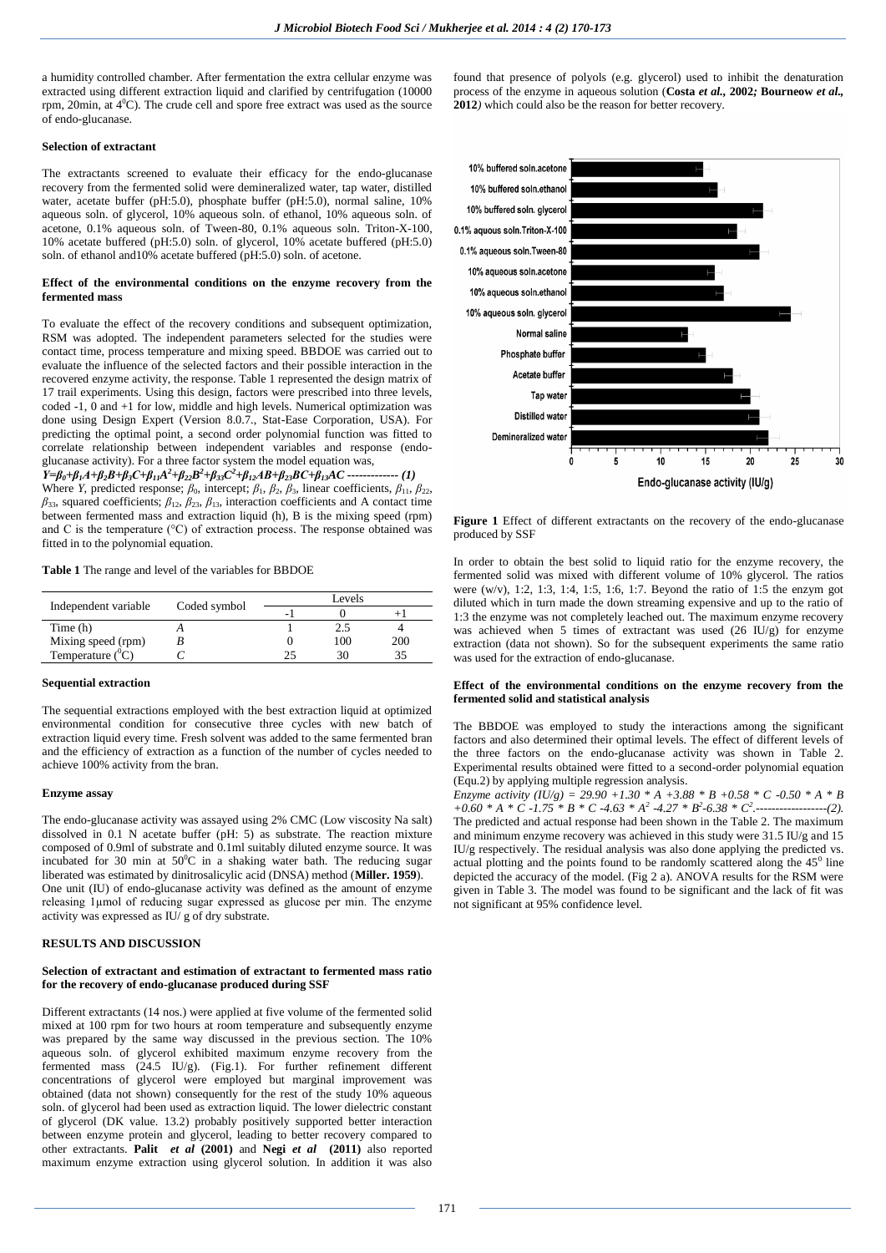a humidity controlled chamber. After fermentation the extra cellular enzyme was extracted using different extraction liquid and clarified by centrifugation (10000 rpm, 20min, at  $4^{\circ}$ C). The crude cell and spore free extract was used as the source of endo-glucanase.

# **Selection of extractant**

The extractants screened to evaluate their efficacy for the endo-glucanase recovery from the fermented solid were demineralized water, tap water, distilled water, acetate buffer (pH:5.0), phosphate buffer (pH:5.0), normal saline,  $10\%$ aqueous soln. of glycerol, 10% aqueous soln. of ethanol, 10% aqueous soln. of acetone, 0.1% aqueous soln. of Tween-80, 0.1% aqueous soln. Triton-X-100, 10% acetate buffered (pH:5.0) soln. of glycerol, 10% acetate buffered (pH:5.0) soln. of ethanol and10% acetate buffered (pH:5.0) soln. of acetone.

# **Effect of the environmental conditions on the enzyme recovery from the fermented mass**

To evaluate the effect of the recovery conditions and subsequent optimization, RSM was adopted. The independent parameters selected for the studies were contact time, process temperature and mixing speed. BBDOE was carried out to evaluate the influence of the selected factors and their possible interaction in the recovered enzyme activity, the response. Table 1 represented the design matrix of 17 trail experiments. Using this design, factors were prescribed into three levels, coded -1, 0 and +1 for low, middle and high levels. Numerical optimization was done using Design Expert (Version 8.0.7., Stat-Ease Corporation, USA). For predicting the optimal point, a second order polynomial function was fitted to correlate relationship between independent variables and response (endoglucanase activity). For a three factor system the model equation was,

 $Y=\beta_0+\beta_1A+\beta_2B+\beta_3C+\beta_{11}A^2+\beta_{22}B^2+\beta_{33}C^2+\beta_{12}AB+\beta_{23}BC+\beta_{13}AC$  -------------- (1) Where *Y*, predicted response;  $\beta_0$ , intercept;  $\beta_1$ ,  $\beta_2$ ,  $\beta_3$ , linear coefficients,  $\beta_{11}$ ,  $\beta_{22}$ , *β*33, squared coefficients; *β*12, *β*23, *β*13, interaction coefficients and A contact time between fermented mass and extraction liquid (h), B is the mixing speed (rpm) and C is the temperature (°C) of extraction process. The response obtained was fitted in to the polynomial equation.

**Table 1** The range and level of the variables for BBDOE

|                           |              | Levels |     |     |
|---------------------------|--------------|--------|-----|-----|
| Independent variable      | Coded symbol | -      |     |     |
| Time (h)                  |              |        |     |     |
| Mixing speed (rpm)        |              |        | 100 | 200 |
| Temperature $(^0\hat{C})$ |              |        |     |     |

#### **Sequential extraction**

The sequential extractions employed with the best extraction liquid at optimized environmental condition for consecutive three cycles with new batch of extraction liquid every time. Fresh solvent was added to the same fermented bran and the efficiency of extraction as a function of the number of cycles needed to achieve 100% activity from the bran.

### **Enzyme assay**

The endo-glucanase activity was assayed using 2% CMC (Low viscosity Na salt) dissolved in 0.1 N acetate buffer (pH: 5) as substrate. The reaction mixture composed of 0.9ml of substrate and 0.1ml suitably diluted enzyme source. It was incubated for 30 min at  $50^{\circ}$ C in a shaking water bath. The reducing sugar liberated was estimated by dinitrosalicylic acid (DNSA) method (**Miller. 1959**). One unit (IU) of endo-glucanase activity was defined as the amount of enzyme releasing 1µmol of reducing sugar expressed as glucose per min. The enzyme activity was expressed as IU/ g of dry substrate.

# **RESULTS AND DISCUSSION**

### **Selection of extractant and estimation of extractant to fermented mass ratio for the recovery of endo-glucanase produced during SSF**

Different extractants (14 nos.) were applied at five volume of the fermented solid mixed at 100 rpm for two hours at room temperature and subsequently enzyme was prepared by the same way discussed in the previous section. The 10% aqueous soln. of glycerol exhibited maximum enzyme recovery from the fermented mass (24.5 IU/g). (Fig.1). For further refinement different concentrations of glycerol were employed but marginal improvement was obtained (data not shown) consequently for the rest of the study 10% aqueous soln. of glycerol had been used as extraction liquid. The lower dielectric constant of glycerol (DK value. 13.2) probably positively supported better interaction between enzyme protein and glycerol, leading to better recovery compared to other extractants. **Palit** *et al* **(2001)** and **Negi** *et al* **(2011)** also reported maximum enzyme extraction using glycerol solution. In addition it was also

found that presence of polyols (e.g. glycerol) used to inhibit the denaturation process of the enzyme in aqueous solution (**Costa** *et al.,* **2002***;* **Bourneow** *et al.,*  **2012***)* which could also be the reason for better recovery.



**Figure 1** Effect of different extractants on the recovery of the endo-glucanase produced by SSF

In order to obtain the best solid to liquid ratio for the enzyme recovery, the fermented solid was mixed with different volume of 10% glycerol. The ratios were (w/v), 1:2, 1:3, 1:4, 1:5, 1:6, 1:7. Beyond the ratio of 1:5 the enzym got diluted which in turn made the down streaming expensive and up to the ratio of 1:3 the enzyme was not completely leached out. The maximum enzyme recovery was achieved when 5 times of extractant was used (26 IU/g) for enzyme extraction (data not shown). So for the subsequent experiments the same ratio was used for the extraction of endo-glucanase.

## **Effect of the environmental conditions on the enzyme recovery from the fermented solid and statistical analysis**

The BBDOE was employed to study the interactions among the significant factors and also determined their optimal levels. The effect of different levels of the three factors on the endo-glucanase activity was shown in Table 2. Experimental results obtained were fitted to a second-order polynomial equation (Equ.2) by applying multiple regression analysis.

*Enzyme activity (IU/g) = 29.90 +1.30 \* A +3.88 \* B +0.58 \* C -0.50 \* A \* B +0.60 \* A \* C -1.75 \* B \* C -4.63 \* A<sup>2</sup> -4.27 \* B<sup>2</sup> -6.38 \* C<sup>2</sup> .------------------(2).*  The predicted and actual response had been shown in the Table 2. The maximum and minimum enzyme recovery was achieved in this study were 31.5 IU/g and 15 IU/g respectively. The residual analysis was also done applying the predicted vs. actual plotting and the points found to be randomly scattered along the  $45^{\circ}$  line depicted the accuracy of the model. (Fig 2 a). ANOVA results for the RSM were given in Table 3. The model was found to be significant and the lack of fit was not significant at 95% confidence level.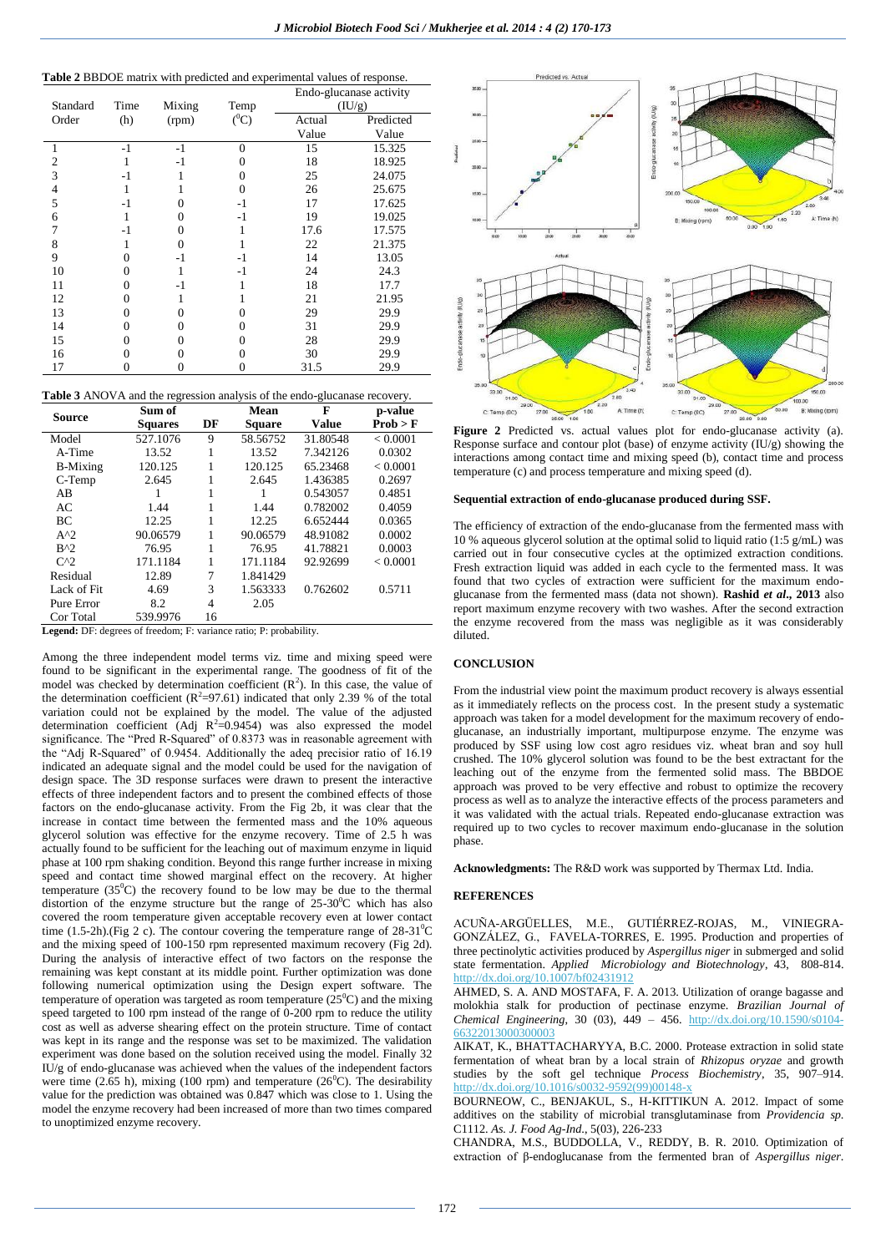## **Table 2** BBDOE matrix with predicted and experimental values of response.

|          |      |        |          | Endo-glucanase activity |           |  |
|----------|------|--------|----------|-------------------------|-----------|--|
| Standard | Time | Mixing | Temp     |                         | (IU/g)    |  |
| Order    | (h)  | (rpm)  | $(^0C)$  | Actual                  | Predicted |  |
|          |      |        |          | Value                   | Value     |  |
| 1        | $-1$ | $-1$   | $\Omega$ | 15                      | 15.325    |  |
| 2        |      | -1     |          | 18                      | 18.925    |  |
| 3        | $-1$ |        | 0        | 25                      | 24.075    |  |
| 4        |      |        | 0        | 26                      | 25.675    |  |
| 5        | -1   |        | $-1$     | 17                      | 17.625    |  |
| 6        |      |        | -1       | 19                      | 19.025    |  |
| 7        | $-1$ | 0      |          | 17.6                    | 17.575    |  |
| 8        |      | 0      |          | 22                      | 21.375    |  |
| 9        | 0    | $-1$   | -1       | 14                      | 13.05     |  |
| 10       | 0    |        | -1       | 24                      | 24.3      |  |
| 11       | 0    | $-1$   |          | 18                      | 17.7      |  |
| 12       | 0    |        |          | 21                      | 21.95     |  |
| 13       | 0    | 0      | 0        | 29                      | 29.9      |  |
| 14       | 0    | 0      | 0        | 31                      | 29.9      |  |
| 15       | 0    |        | 0        | 28                      | 29.9      |  |
| 16       |      |        |          | 30                      | 29.9      |  |
| 17       | 0    |        | 0        | 31.5                    | 29.9      |  |

|  | <b>Table 3</b> ANOVA and the regression analysis of the endo-glucanase recovery. |  |
|--|----------------------------------------------------------------------------------|--|
|  |                                                                                  |  |

| <b>Source</b>   | Sum of         |    | Mean          | F            | p-value  |
|-----------------|----------------|----|---------------|--------------|----------|
|                 | <b>Squares</b> | DF | <b>Square</b> | <b>Value</b> | Prob > F |
| Model           | 527.1076       | 9  | 58.56752      | 31.80548     | < 0.0001 |
| A-Time          | 13.52          |    | 13.52         | 7.342126     | 0.0302   |
| <b>B-Mixing</b> | 120.125        |    | 120.125       | 65.23468     | < 0.0001 |
| C-Temp          | 2.645          |    | 2.645         | 1.436385     | 0.2697   |
| AB              |                |    |               | 0.543057     | 0.4851   |
| AC              | 1.44           |    | 1.44          | 0.782002     | 0.4059   |
| BC.             | 12.25          |    | 12.25         | 6.652444     | 0.0365   |
| $A^2$           | 90.06579       |    | 90.06579      | 48.91082     | 0.0002   |
| $B^{\wedge}2$   | 76.95          |    | 76.95         | 41.78821     | 0.0003   |
| $C^{\wedge}2$   | 171.1184       |    | 171.1184      | 92.92699     | < 0.0001 |
| Residual        | 12.89          | 7  | 1.841429      |              |          |
| Lack of Fit     | 4.69           | 3  | 1.563333      | 0.762602     | 0.5711   |
| Pure Error      | 8.2            | 4  | 2.05          |              |          |
| Cor Total       | 539.9976       | 16 |               |              |          |

**Legend:** DF: degrees of freedom; F: variance ratio; P: probability.

Among the three independent model terms viz. time and mixing speed were found to be significant in the experimental range. The goodness of fit of the model was checked by determination coefficient  $(R^2)$ . In this case, the value of the determination coefficient ( $R^2$ =97.61) indicated that only 2.39 % of the total variation could not be explained by the model. The value of the adjusted determination coefficient (Adj  $R^2$ =0.9454) was also expressed the model significance. The "Pred R-Squared" of 0.8373 was in reasonable agreement with the "Adj R-Squared" of 0.9454. Additionally the adeq precisior ratio of 16.19 indicated an adequate signal and the model could be used for the navigation of design space. The 3D response surfaces were drawn to present the interactive effects of three independent factors and to present the combined effects of those factors on the endo-glucanase activity. From the Fig 2b, it was clear that the increase in contact time between the fermented mass and the 10% aqueous glycerol solution was effective for the enzyme recovery. Time of 2.5 h was actually found to be sufficient for the leaching out of maximum enzyme in liquid phase at 100 rpm shaking condition. Beyond this range further increase in mixing speed and contact time showed marginal effect on the recovery. At higher temperature  $(35^0C)$  the recovery found to be low may be due to the thermal distortion of the enzyme structure but the range of  $25{\text -}30^0$ C which has also covered the room temperature given acceptable recovery even at lower contact time (1.5-2h).(Fig 2 c). The contour covering the temperature range of  $28-31^{\circ}C$ and the mixing speed of 100-150 rpm represented maximum recovery (Fig 2d). During the analysis of interactive effect of two factors on the response the remaining was kept constant at its middle point. Further optimization was done following numerical optimization using the Design expert software. The temperature of operation was targeted as room temperature  $(25^{\circ}C)$  and the mixing speed targeted to 100 rpm instead of the range of 0-200 rpm to reduce the utility cost as well as adverse shearing effect on the protein structure. Time of contact was kept in its range and the response was set to be maximized. The validation experiment was done based on the solution received using the model. Finally 32 IU/g of endo-glucanase was achieved when the values of the independent factors were time (2.65 h), mixing (100 rpm) and temperature (26<sup>0</sup>C). The desirability value for the prediction was obtained was 0.847 which was close to 1. Using the model the enzyme recovery had been increased of more than two times compared to unoptimized enzyme recovery.



Figure 2 Predicted vs. actual values plot for endo-glucanase activity (a). Response surface and contour plot (base) of enzyme activity (IU/g) showing the interactions among contact time and mixing speed (b), contact time and process temperature (c) and process temperature and mixing speed (d).

#### **Sequential extraction of endo-glucanase produced during SSF.**

The efficiency of extraction of the endo-glucanase from the fermented mass with 10 % aqueous glycerol solution at the optimal solid to liquid ratio (1:5  $g/mL$ ) was carried out in four consecutive cycles at the optimized extraction conditions. Fresh extraction liquid was added in each cycle to the fermented mass. It was found that two cycles of extraction were sufficient for the maximum endoglucanase from the fermented mass (data not shown). **Rashid** *et al***., 2013** also report maximum enzyme recovery with two washes. After the second extraction the enzyme recovered from the mass was negligible as it was considerably diluted.

## **CONCLUSION**

From the industrial view point the maximum product recovery is always essential as it immediately reflects on the process cost. In the present study a systematic approach was taken for a model development for the maximum recovery of endoglucanase, an industrially important, multipurpose enzyme. The enzyme was produced by SSF using low cost agro residues viz. wheat bran and soy hull crushed. The 10% glycerol solution was found to be the best extractant for the leaching out of the enzyme from the fermented solid mass. The BBDOE approach was proved to be very effective and robust to optimize the recovery process as well as to analyze the interactive effects of the process parameters and it was validated with the actual trials. Repeated endo-glucanase extraction was required up to two cycles to recover maximum endo-glucanase in the solution phase.

**Acknowledgments:** The R&D work was supported by Thermax Ltd. India.

### **REFERENCES**

ACUÑA-ARGÜELLES, M.E., GUTIÉRREZ-ROJAS, M., VINIEGRA-GONZÁLEZ, G., FAVELA-TORRES, E. 1995. Production and properties of three pectinolytic activities produced by *Aspergillus niger* in submerged and solid state fermentation. *Applied Microbiology and Biotechnology*, 43, 808-814. <http://dx.doi.org/10.1007/bf02431912>

AHMED, S. A. AND MOSTAFA, F. A. 2013. Utilization of orange bagasse and molokhia stalk for production of pectinase enzyme. *Brazilian Journal of Chemical Engineering*, 30 (03), 449 – 456. [http://dx.doi.org/10.1590/s0104-](http://dx.doi.org/10.1590/s0104-66322013000300003) [66322013000300003](http://dx.doi.org/10.1590/s0104-66322013000300003)

AIKAT, K., BHATTACHARYYA, B.C. 2000. Protease extraction in solid state fermentation of wheat bran by a local strain of *Rhizopus oryzae* and growth studies by the soft gel technique *Process Biochemistry*, 35, 907–914. [http://dx.doi.org/10.1016/s0032-9592\(99\)00148-x](http://dx.doi.org/10.1016/s0032-9592(99)00148-x)

BOURNEOW, C., BENJAKUL, S., H-KITTIKUN A. 2012. Impact of some additives on the stability of microbial transglutaminase from *Providencia sp*. C1112. *As. J. Food Ag-Ind*., 5(03), 226-233

CHANDRA, M.S., BUDDOLLA, V., REDDY, B. R. 2010. Optimization of extraction of β-endoglucanase from the fermented bran of *Aspergillus niger*.